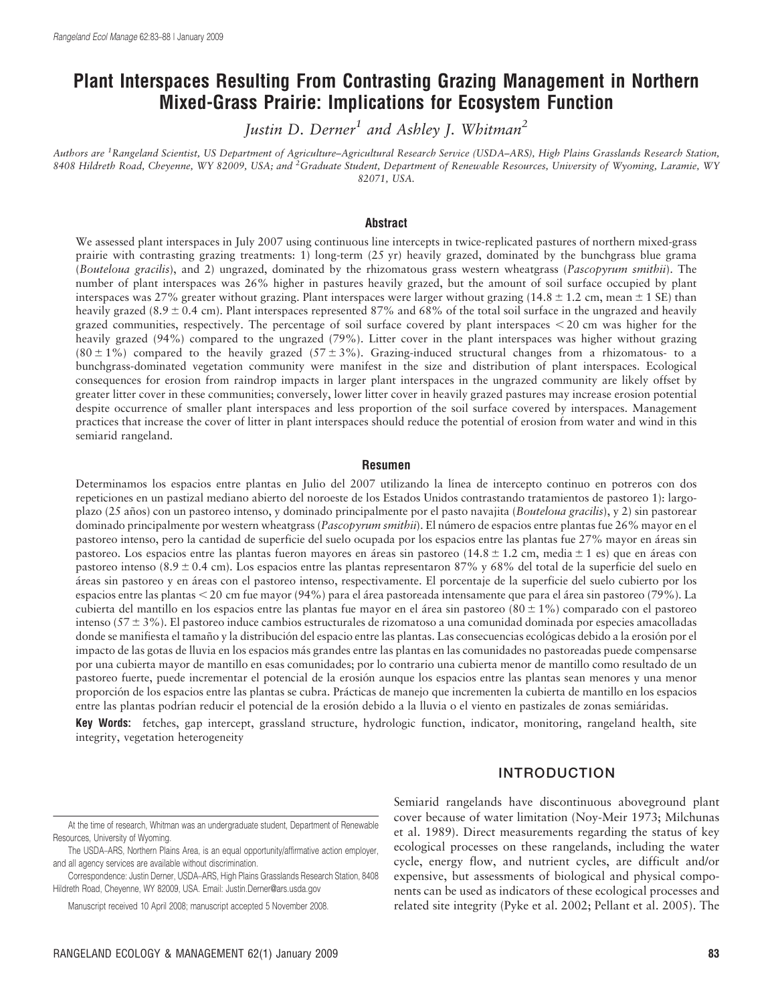# Plant Interspaces Resulting From Contrasting Grazing Management in Northern Mixed-Grass Prairie: Implications for Ecosystem Function

Justin D. Derner<sup>1</sup> and Ashley J. Whitman<sup>2</sup>

Authors are <sup>1</sup>Rangeland Scientist, US Department of Agriculture–Agricultural Research Service (USDA–ARS), High Plains Grasslands Research Station, 8408 Hildreth Road, Cheyenne, WY 82009, USA; and <sup>2</sup>Graduate Student, Department of Renewable Resources, University of Wyoming, Laramie, WY 82071, USA.

#### Abstract

We assessed plant interspaces in July 2007 using continuous line intercepts in twice-replicated pastures of northern mixed-grass prairie with contrasting grazing treatments: 1) long-term (25 yr) heavily grazed, dominated by the bunchgrass blue grama (Bouteloua gracilis), and 2) ungrazed, dominated by the rhizomatous grass western wheatgrass (Pascopyrum smithii). The number of plant interspaces was 26% higher in pastures heavily grazed, but the amount of soil surface occupied by plant interspaces was 27% greater without grazing. Plant interspaces were larger without grazing (14.8  $\pm$  1.2 cm, mean  $\pm$  1 SE) than heavily grazed  $(8.9 \pm 0.4 \text{ cm})$ . Plant interspaces represented 87% and 68% of the total soil surface in the ungrazed and heavily grazed communities, respectively. The percentage of soil surface covered by plant interspaces  $\lt 20$  cm was higher for the heavily grazed (94%) compared to the ungrazed (79%). Litter cover in the plant interspaces was higher without grazing (80  $\pm$  1%) compared to the heavily grazed (57  $\pm$  3%). Grazing-induced structural changes from a rhizomatous- to a bunchgrass-dominated vegetation community were manifest in the size and distribution of plant interspaces. Ecological consequences for erosion from raindrop impacts in larger plant interspaces in the ungrazed community are likely offset by greater litter cover in these communities; conversely, lower litter cover in heavily grazed pastures may increase erosion potential despite occurrence of smaller plant interspaces and less proportion of the soil surface covered by interspaces. Management practices that increase the cover of litter in plant interspaces should reduce the potential of erosion from water and wind in this semiarid rangeland.

#### Resumen

Determinamos los espacios entre plantas en Julio del 2007 utilizando la línea de intercepto continuo en potreros con dos repeticiones en un pastizal mediano abierto del noroeste de los Estados Unidos contrastando tratamientos de pastoreo 1): largoplazo (25 años) con un pastoreo intenso, y dominado principalmente por el pasto navajita (Bouteloua gracilis), y 2) sin pastorear dominado principalmente por western wheatgrass (Pascopyrum smithii). El número de espacios entre plantas fue 26% mayor en el pastoreo intenso, pero la cantidad de superficie del suelo ocupada por los espacios entre las plantas fue 27% mayor en áreas sin pastoreo. Los espacios entre las plantas fueron mayores en áreas sin pastoreo (14.8  $\pm$  1.2 cm, media  $\pm$  1 es) que en áreas con pastoreo intenso (8.9  $\pm$  0.4 cm). Los espacios entre las plantas representaron 87% y 68% del total de la superficie del suelo en a´reas sin pastoreo y en a´reas con el pastoreo intenso, respectivamente. El porcentaje de la superficie del suelo cubierto por los espacios entre las plantas  $<$  20 cm fue mayor (94%) para el área pastoreada intensamente que para el área sin pastoreo (79%). La cubierta del mantillo en los espacios entre las plantas fue mayor en el área sin pastoreo (80  $\pm$  1%) comparado con el pastoreo intenso  $(57 \pm 3\%)$ . El pastoreo induce cambios estructurales de rizomatoso a una comunidad dominada por especies amacolladas donde se manifiesta el tamaño y la distribución del espacio entre las plantas. Las consecuencias ecológicas debido a la erosión por el impacto de las gotas de lluvia en los espacios ma´s grandes entre las plantas en las comunidades no pastoreadas puede compensarse por una cubierta mayor de mantillo en esas comunidades; por lo contrario una cubierta menor de mantillo como resultado de un pastoreo fuerte, puede incrementar el potencial de la erosión aunque los espacios entre las plantas sean menores y una menor proporción de los espacios entre las plantas se cubra. Prácticas de manejo que incrementen la cubierta de mantillo en los espacios entre las plantas podrían reducir el potencial de la erosión debido a la lluvia o el viento en pastizales de zonas semiáridas.

Key Words: fetches, gap intercept, grassland structure, hydrologic function, indicator, monitoring, rangeland health, site integrity, vegetation heterogeneity

# INTRODUCTION

Semiarid rangelands have discontinuous aboveground plant cover because of water limitation (Noy-Meir 1973; Milchunas et al. 1989). Direct measurements regarding the status of key ecological processes on these rangelands, including the water cycle, energy flow, and nutrient cycles, are difficult and/or expensive, but assessments of biological and physical components can be used as indicators of these ecological processes and related site integrity (Pyke et al. 2002; Pellant et al. 2005). The

At the time of research, Whitman was an undergraduate student, Department of Renewable Resources, University of Wyoming.

The USDA–ARS, Northern Plains Area, is an equal opportunity/affirmative action employer, and all agency services are available without discrimination.

Correspondence: Justin Derner, USDA–ARS, High Plains Grasslands Research Station, 8408 Hildreth Road, Cheyenne, WY 82009, USA. Email: Justin.Derner@ars.usda.gov

Manuscript received 10 April 2008; manuscript accepted 5 November 2008.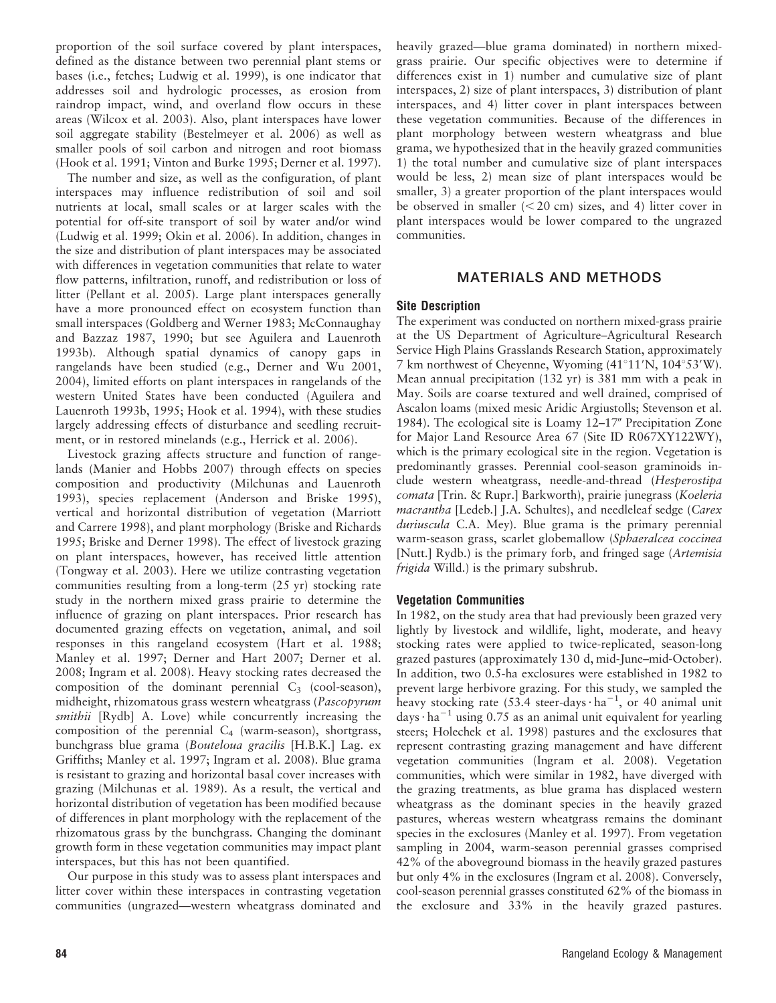proportion of the soil surface covered by plant interspaces, defined as the distance between two perennial plant stems or bases (i.e., fetches; Ludwig et al. 1999), is one indicator that addresses soil and hydrologic processes, as erosion from raindrop impact, wind, and overland flow occurs in these areas (Wilcox et al. 2003). Also, plant interspaces have lower soil aggregate stability (Bestelmeyer et al. 2006) as well as smaller pools of soil carbon and nitrogen and root biomass (Hook et al. 1991; Vinton and Burke 1995; Derner et al. 1997).

The number and size, as well as the configuration, of plant interspaces may influence redistribution of soil and soil nutrients at local, small scales or at larger scales with the potential for off-site transport of soil by water and/or wind (Ludwig et al. 1999; Okin et al. 2006). In addition, changes in the size and distribution of plant interspaces may be associated with differences in vegetation communities that relate to water flow patterns, infiltration, runoff, and redistribution or loss of litter (Pellant et al. 2005). Large plant interspaces generally have a more pronounced effect on ecosystem function than small interspaces (Goldberg and Werner 1983; McConnaughay and Bazzaz 1987, 1990; but see Aguilera and Lauenroth 1993b). Although spatial dynamics of canopy gaps in rangelands have been studied (e.g., Derner and Wu 2001, 2004), limited efforts on plant interspaces in rangelands of the western United States have been conducted (Aguilera and Lauenroth 1993b, 1995; Hook et al. 1994), with these studies largely addressing effects of disturbance and seedling recruitment, or in restored minelands (e.g., Herrick et al. 2006).

Livestock grazing affects structure and function of rangelands (Manier and Hobbs 2007) through effects on species composition and productivity (Milchunas and Lauenroth 1993), species replacement (Anderson and Briske 1995), vertical and horizontal distribution of vegetation (Marriott and Carrere 1998), and plant morphology (Briske and Richards 1995; Briske and Derner 1998). The effect of livestock grazing on plant interspaces, however, has received little attention (Tongway et al. 2003). Here we utilize contrasting vegetation communities resulting from a long-term (25 yr) stocking rate study in the northern mixed grass prairie to determine the influence of grazing on plant interspaces. Prior research has documented grazing effects on vegetation, animal, and soil responses in this rangeland ecosystem (Hart et al. 1988; Manley et al. 1997; Derner and Hart 2007; Derner et al. 2008; Ingram et al. 2008). Heavy stocking rates decreased the composition of the dominant perennial  $C_3$  (cool-season), midheight, rhizomatous grass western wheatgrass (Pascopyrum smithii [Rydb] A. Love) while concurrently increasing the composition of the perennial  $C_4$  (warm-season), shortgrass, bunchgrass blue grama (Bouteloua gracilis [H.B.K.] Lag. ex Griffiths; Manley et al. 1997; Ingram et al. 2008). Blue grama is resistant to grazing and horizontal basal cover increases with grazing (Milchunas et al. 1989). As a result, the vertical and horizontal distribution of vegetation has been modified because of differences in plant morphology with the replacement of the rhizomatous grass by the bunchgrass. Changing the dominant growth form in these vegetation communities may impact plant interspaces, but this has not been quantified.

Our purpose in this study was to assess plant interspaces and litter cover within these interspaces in contrasting vegetation communities (ungrazed—western wheatgrass dominated and

heavily grazed—blue grama dominated) in northern mixedgrass prairie. Our specific objectives were to determine if differences exist in 1) number and cumulative size of plant interspaces, 2) size of plant interspaces, 3) distribution of plant interspaces, and 4) litter cover in plant interspaces between these vegetation communities. Because of the differences in plant morphology between western wheatgrass and blue grama, we hypothesized that in the heavily grazed communities 1) the total number and cumulative size of plant interspaces would be less, 2) mean size of plant interspaces would be smaller, 3) a greater proportion of the plant interspaces would be observed in smaller  $(< 20$  cm) sizes, and 4) litter cover in plant interspaces would be lower compared to the ungrazed communities.

# MATERIALS AND METHODS

### Site Description

The experiment was conducted on northern mixed-grass prairie at the US Department of Agriculture–Agricultural Research Service High Plains Grasslands Research Station, approximately 7 km northwest of Cheyenne, Wyoming  $(41^{\circ}11^{\prime}N, 104^{\circ}53^{\prime}W)$ . Mean annual precipitation (132 yr) is 381 mm with a peak in May. Soils are coarse textured and well drained, comprised of Ascalon loams (mixed mesic Aridic Argiustolls; Stevenson et al. 1984). The ecological site is Loamy 12–17" Precipitation Zone for Major Land Resource Area 67 (Site ID R067XY122WY), which is the primary ecological site in the region. Vegetation is predominantly grasses. Perennial cool-season graminoids include western wheatgrass, needle-and-thread (Hesperostipa comata [Trin. & Rupr.] Barkworth), prairie junegrass (Koeleria macrantha [Ledeb.] J.A. Schultes), and needleleaf sedge (Carex duriuscula C.A. Mey). Blue grama is the primary perennial warm-season grass, scarlet globemallow (Sphaeralcea coccinea [Nutt.] Rydb.) is the primary forb, and fringed sage (Artemisia) frigida Willd.) is the primary subshrub.

#### Vegetation Communities

In 1982, on the study area that had previously been grazed very lightly by livestock and wildlife, light, moderate, and heavy stocking rates were applied to twice-replicated, season-long grazed pastures (approximately 130 d, mid-June–mid-October). In addition, two 0.5-ha exclosures were established in 1982 to prevent large herbivore grazing. For this study, we sampled the heavy stocking rate (53.4 steer-days  $\cdot$  ha<sup>-1</sup>, or 40 animal unit days  $\cdot$  ha<sup>-1</sup> using 0.75 as an animal unit equivalent for yearling steers; Holechek et al. 1998) pastures and the exclosures that represent contrasting grazing management and have different vegetation communities (Ingram et al. 2008). Vegetation communities, which were similar in 1982, have diverged with the grazing treatments, as blue grama has displaced western wheatgrass as the dominant species in the heavily grazed pastures, whereas western wheatgrass remains the dominant species in the exclosures (Manley et al. 1997). From vegetation sampling in 2004, warm-season perennial grasses comprised 42% of the aboveground biomass in the heavily grazed pastures but only 4% in the exclosures (Ingram et al. 2008). Conversely, cool-season perennial grasses constituted 62% of the biomass in the exclosure and 33% in the heavily grazed pastures.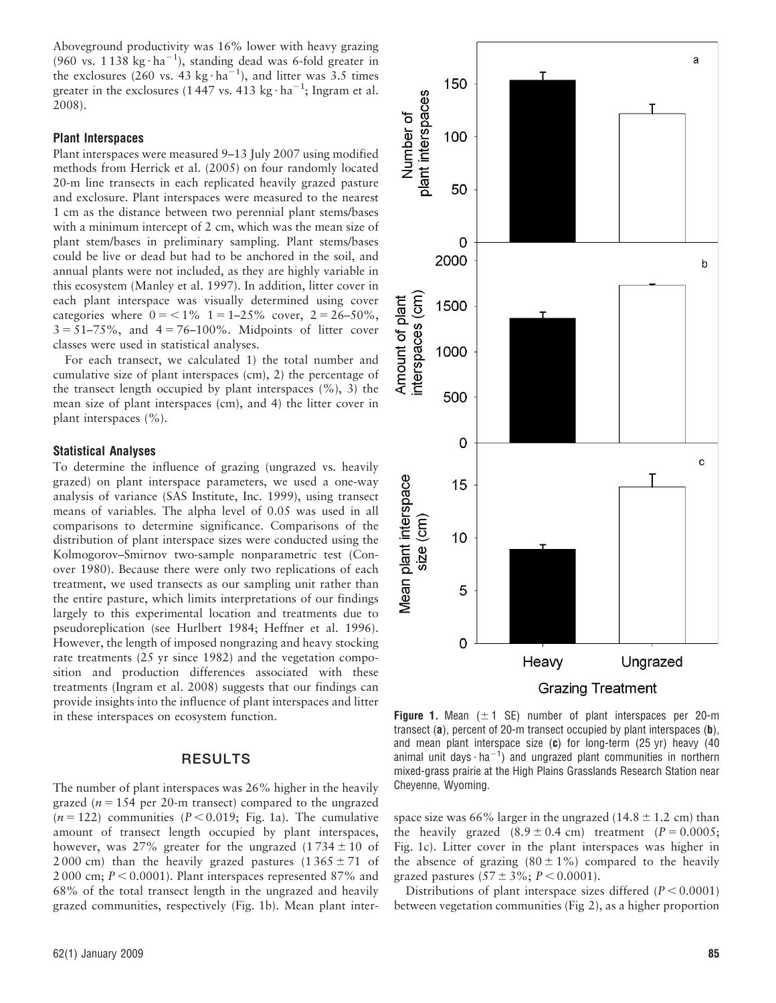Aboveground productivity was 16% lower with heavy grazing (960 vs.  $1138 \text{ kg} \cdot \text{ha}^{-1}$ ), standing dead was 6-fold greater in the exclosures (260 vs. 43 kg·ha<sup>-1</sup>), and litter was 3.5 times greater in the exclosures (1447 vs. 413 kg $\cdot$  ha<sup>-1</sup>; Ingram et al. 2008).

#### Plant Interspaces

Plant interspaces were measured 9–13 July 2007 using modified methods from Herrick et al. (2005) on four randomly located 20-m line transects in each replicated heavily grazed pasture and exclosure. Plant interspaces were measured to the nearest 1 cm as the distance between two perennial plant stems/bases with a minimum intercept of 2 cm, which was the mean size of plant stem/bases in preliminary sampling. Plant stems/bases could be live or dead but had to be anchored in the soil, and annual plants were not included, as they are highly variable in this ecosystem (Manley et al. 1997). In addition, litter cover in each plant interspace was visually determined using cover categories where  $0 = 1\%$  1 = 1–25% cover, 2 = 26–50%,  $3 = 51 - 75\%$ , and  $4 = 76 - 100\%$ . Midpoints of litter cover classes were used in statistical analyses.

For each transect, we calculated 1) the total number and cumulative size of plant interspaces (cm), 2) the percentage of the transect length occupied by plant interspaces (%), 3) the mean size of plant interspaces (cm), and 4) the litter cover in plant interspaces (%).

#### Statistical Analyses

To determine the influence of grazing (ungrazed vs. heavily grazed) on plant interspace parameters, we used a one-way analysis of variance (SAS Institute, Inc. 1999), using transect means of variables. The alpha level of 0.05 was used in all comparisons to determine significance. Comparisons of the distribution of plant interspace sizes were conducted using the Kolmogorov–Smirnov two-sample nonparametric test (Conover 1980). Because there were only two replications of each treatment, we used transects as our sampling unit rather than the entire pasture, which limits interpretations of our findings largely to this experimental location and treatments due to pseudoreplication (see Hurlbert 1984; Heffner et al. 1996). However, the length of imposed nongrazing and heavy stocking rate treatments (25 yr since 1982) and the vegetation composition and production differences associated with these treatments (Ingram et al. 2008) suggests that our findings can provide insights into the influence of plant interspaces and litter in these interspaces on ecosystem function.

## RESULTS

The number of plant interspaces was 26% higher in the heavily grazed ( $n = 154$  per 20-m transect) compared to the ungrazed  $(n = 122)$  communities  $(P < 0.019$ ; Fig. 1a). The cumulative amount of transect length occupied by plant interspaces, however, was 27% greater for the ungrazed  $(1734 \pm 10)$  of 2 000 cm) than the heavily grazed pastures  $(1365 \pm 71)$  of 2 000 cm;  $P < 0.0001$ ). Plant interspaces represented 87% and 68% of the total transect length in the ungrazed and heavily grazed communities, respectively (Fig. 1b). Mean plant inter-



**Grazing Treatment** 

**Figure 1.** Mean  $(\pm 1 \text{ SE})$  number of plant interspaces per 20-m transect (a), percent of 20-m transect occupied by plant interspaces (b), and mean plant interspace size  $(c)$  for long-term (25 yr) heavy (40 animal unit days  $\cdot$  ha<sup>-1</sup>) and ungrazed plant communities in northern mixed-grass prairie at the High Plains Grasslands Research Station near Cheyenne, Wyoming.

space size was 66% larger in the ungrazed (14.8  $\pm$  1.2 cm) than the heavily grazed  $(8.9 \pm 0.4 \text{ cm})$  treatment  $(P = 0.0005;$ Fig. 1c). Litter cover in the plant interspaces was higher in the absence of grazing  $(80 \pm 1\%)$  compared to the heavily grazed pastures  $(57 \pm 3\%; P < 0.0001)$ .

Distributions of plant interspace sizes differed  $(P < 0.0001)$ between vegetation communities (Fig 2), as a higher proportion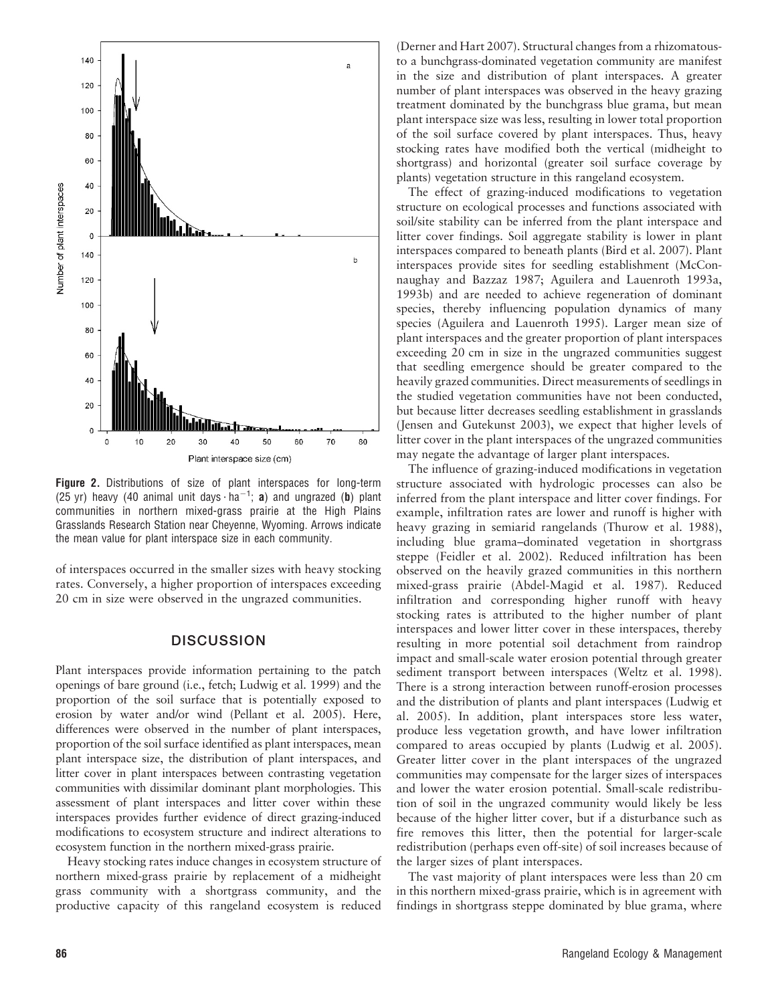

Figure 2. Distributions of size of plant interspaces for long-term (25 yr) heavy (40 animal unit days  $\cdot$  ha<sup>-1</sup>; **a**) and ungrazed (**b**) plant communities in northern mixed-grass prairie at the High Plains Grasslands Research Station near Cheyenne, Wyoming. Arrows indicate the mean value for plant interspace size in each community.

of interspaces occurred in the smaller sizes with heavy stocking rates. Conversely, a higher proportion of interspaces exceeding 20 cm in size were observed in the ungrazed communities.

### **DISCUSSION**

Plant interspaces provide information pertaining to the patch openings of bare ground (i.e., fetch; Ludwig et al. 1999) and the proportion of the soil surface that is potentially exposed to erosion by water and/or wind (Pellant et al. 2005). Here, differences were observed in the number of plant interspaces, proportion of the soil surface identified as plant interspaces, mean plant interspace size, the distribution of plant interspaces, and litter cover in plant interspaces between contrasting vegetation communities with dissimilar dominant plant morphologies. This assessment of plant interspaces and litter cover within these interspaces provides further evidence of direct grazing-induced modifications to ecosystem structure and indirect alterations to ecosystem function in the northern mixed-grass prairie.

Heavy stocking rates induce changes in ecosystem structure of northern mixed-grass prairie by replacement of a midheight grass community with a shortgrass community, and the productive capacity of this rangeland ecosystem is reduced

(Derner and Hart 2007). Structural changes from a rhizomatousto a bunchgrass-dominated vegetation community are manifest in the size and distribution of plant interspaces. A greater number of plant interspaces was observed in the heavy grazing treatment dominated by the bunchgrass blue grama, but mean plant interspace size was less, resulting in lower total proportion of the soil surface covered by plant interspaces. Thus, heavy stocking rates have modified both the vertical (midheight to shortgrass) and horizontal (greater soil surface coverage by plants) vegetation structure in this rangeland ecosystem.

The effect of grazing-induced modifications to vegetation structure on ecological processes and functions associated with soil/site stability can be inferred from the plant interspace and litter cover findings. Soil aggregate stability is lower in plant interspaces compared to beneath plants (Bird et al. 2007). Plant interspaces provide sites for seedling establishment (McConnaughay and Bazzaz 1987; Aguilera and Lauenroth 1993a, 1993b) and are needed to achieve regeneration of dominant species, thereby influencing population dynamics of many species (Aguilera and Lauenroth 1995). Larger mean size of plant interspaces and the greater proportion of plant interspaces exceeding 20 cm in size in the ungrazed communities suggest that seedling emergence should be greater compared to the heavily grazed communities. Direct measurements of seedlings in the studied vegetation communities have not been conducted, but because litter decreases seedling establishment in grasslands (Jensen and Gutekunst 2003), we expect that higher levels of litter cover in the plant interspaces of the ungrazed communities may negate the advantage of larger plant interspaces.

The influence of grazing-induced modifications in vegetation structure associated with hydrologic processes can also be inferred from the plant interspace and litter cover findings. For example, infiltration rates are lower and runoff is higher with heavy grazing in semiarid rangelands (Thurow et al. 1988), including blue grama–dominated vegetation in shortgrass steppe (Feidler et al. 2002). Reduced infiltration has been observed on the heavily grazed communities in this northern mixed-grass prairie (Abdel-Magid et al. 1987). Reduced infiltration and corresponding higher runoff with heavy stocking rates is attributed to the higher number of plant interspaces and lower litter cover in these interspaces, thereby resulting in more potential soil detachment from raindrop impact and small-scale water erosion potential through greater sediment transport between interspaces (Weltz et al. 1998). There is a strong interaction between runoff-erosion processes and the distribution of plants and plant interspaces (Ludwig et al. 2005). In addition, plant interspaces store less water, produce less vegetation growth, and have lower infiltration compared to areas occupied by plants (Ludwig et al. 2005). Greater litter cover in the plant interspaces of the ungrazed communities may compensate for the larger sizes of interspaces and lower the water erosion potential. Small-scale redistribution of soil in the ungrazed community would likely be less because of the higher litter cover, but if a disturbance such as fire removes this litter, then the potential for larger-scale redistribution (perhaps even off-site) of soil increases because of the larger sizes of plant interspaces.

The vast majority of plant interspaces were less than 20 cm in this northern mixed-grass prairie, which is in agreement with findings in shortgrass steppe dominated by blue grama, where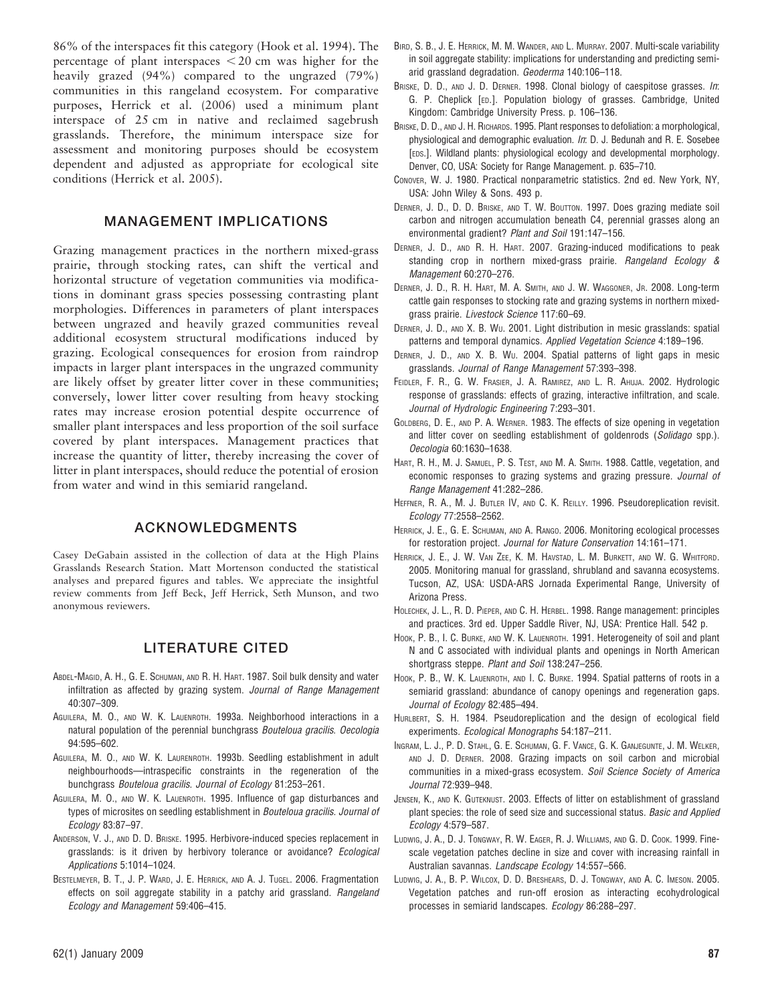86% of the interspaces fit this category (Hook et al. 1994). The percentage of plant interspaces  $<$  20 cm was higher for the heavily grazed (94%) compared to the ungrazed (79%) communities in this rangeland ecosystem. For comparative purposes, Herrick et al. (2006) used a minimum plant interspace of 25 cm in native and reclaimed sagebrush grasslands. Therefore, the minimum interspace size for assessment and monitoring purposes should be ecosystem dependent and adjusted as appropriate for ecological site conditions (Herrick et al. 2005).

### MANAGEMENT IMPLICATIONS

Grazing management practices in the northern mixed-grass prairie, through stocking rates, can shift the vertical and horizontal structure of vegetation communities via modifications in dominant grass species possessing contrasting plant morphologies. Differences in parameters of plant interspaces between ungrazed and heavily grazed communities reveal additional ecosystem structural modifications induced by grazing. Ecological consequences for erosion from raindrop impacts in larger plant interspaces in the ungrazed community are likely offset by greater litter cover in these communities; conversely, lower litter cover resulting from heavy stocking rates may increase erosion potential despite occurrence of smaller plant interspaces and less proportion of the soil surface covered by plant interspaces. Management practices that increase the quantity of litter, thereby increasing the cover of litter in plant interspaces, should reduce the potential of erosion from water and wind in this semiarid rangeland.

## ACKNOWLEDGMENTS

Casey DeGabain assisted in the collection of data at the High Plains Grasslands Research Station. Matt Mortenson conducted the statistical analyses and prepared figures and tables. We appreciate the insightful review comments from Jeff Beck, Jeff Herrick, Seth Munson, and two anonymous reviewers.

## LITERATURE CITED

- ABDEL-MAGID, A. H., G. E. SCHUMAN, AND R. H. HART. 1987. Soil bulk density and water infiltration as affected by grazing system. Journal of Range Management 40:307–309.
- AGUILERA, M. O., AND W. K. LAUENROTH. 1993a. Neighborhood interactions in a natural population of the perennial bunchgrass Bouteloua gracilis. Oecologia 94:595–602.
- AGUILERA, M. O., AND W. K. LAURENROTH. 1993b. Seedling establishment in adult neighbourhoods—intraspecific constraints in the regeneration of the bunchgrass Bouteloua gracilis. Journal of Ecology 81:253–261.
- AGUILERA, M. O., AND W. K. LAUENROTH. 1995. Influence of gap disturbances and types of microsites on seedling establishment in Bouteloua gracilis. Journal of Ecology 83:87–97.
- ANDERSON, V. J., AND D. D. BRISKE. 1995. Herbivore-induced species replacement in grasslands: is it driven by herbivory tolerance or avoidance? Ecological Applications 5:1014–1024.
- BESTELMEYER, B. T., J. P. WARD, J. E. HERRICK, AND A. J. TUGEL. 2006. Fragmentation effects on soil aggregate stability in a patchy arid grassland. Rangeland Ecology and Management 59:406–415.
- BIRD, S. B., J. E. HERRICK, M. M. WANDER, AND L. MURRAY. 2007. Multi-scale variability in soil aggregate stability: implications for understanding and predicting semiarid grassland degradation. Geoderma 140:106–118.
- BRISKE, D. D., AND J. D. DERNER. 1998. Clonal biology of caespitose grasses. In: G. P. Cheplick [ED.]. Population biology of grasses. Cambridge, United Kingdom: Cambridge University Press. p. 106–136.
- BRISKE, D. D., AND J. H. RICHARDS. 1995. Plant responses to defoliation: a morphological, physiological and demographic evaluation. In: D. J. Bedunah and R. E. Sosebee [EDS.]. Wildland plants: physiological ecology and developmental morphology. Denver, CO, USA: Society for Range Management. p. 635–710.
- CONOVER, W. J. 1980. Practical nonparametric statistics. 2nd ed. New York, NY, USA: John Wiley & Sons. 493 p.
- DERNER, J. D., D. D. BRISKE, AND T. W. BOUTTON. 1997. Does grazing mediate soil carbon and nitrogen accumulation beneath C4, perennial grasses along an environmental gradient? Plant and Soil 191:147–156.
- DERNER, J. D., AND R. H. HART. 2007. Grazing-induced modifications to peak standing crop in northern mixed-grass prairie. Rangeland Ecology & Management 60:270–276.
- DERNER, J. D., R. H. HART, M. A. SMITH, AND J. W. WAGGONER, JR. 2008. Long-term cattle gain responses to stocking rate and grazing systems in northern mixedgrass prairie. Livestock Science 117:60–69.
- DERNER, J. D., AND X. B. WU. 2001. Light distribution in mesic grasslands: spatial patterns and temporal dynamics. Applied Vegetation Science 4:189-196.
- DERNER, J. D., AND X. B. WU. 2004. Spatial patterns of light gaps in mesic grasslands. Journal of Range Management 57:393–398.
- FEIDLER, F. R., G. W. FRASIER, J. A. RAMIREZ, AND L. R. AHUJA. 2002. Hydrologic response of grasslands: effects of grazing, interactive infiltration, and scale. Journal of Hydrologic Engineering 7:293–301.
- GOLDBERG, D. E., AND P. A. WERNER. 1983. The effects of size opening in vegetation and litter cover on seedling establishment of goldenrods (Solidago spp.). Oecologia 60:1630–1638.
- HART, R. H., M. J. SAMUEL, P. S. TEST, AND M. A. SMITH. 1988. Cattle, vegetation, and economic responses to grazing systems and grazing pressure. Journal of Range Management 41:282–286.
- HEFFNER, R. A., M. J. BUTLER IV, AND C. K. REILLY. 1996. Pseudoreplication revisit. Ecology 77:2558–2562.
- HERRICK, J. E., G. E. SCHUMAN, AND A. RANGO. 2006. Monitoring ecological processes for restoration project. Journal for Nature Conservation 14:161–171.
- HERRICK, J. E., J. W. VAN ZEE, K. M. HAVSTAD, L. M. BURKETT, AND W. G. WHITFORD. 2005. Monitoring manual for grassland, shrubland and savanna ecosystems. Tucson, AZ, USA: USDA-ARS Jornada Experimental Range, University of Arizona Press.
- HOLECHEK, J. L., R. D. PIEPER, AND C. H. HERBEL. 1998. Range management: principles and practices. 3rd ed. Upper Saddle River, NJ, USA: Prentice Hall. 542 p.
- HOOK, P. B., I. C. BURKE, AND W. K. LAUENROTH. 1991. Heterogeneity of soil and plant N and C associated with individual plants and openings in North American shortgrass steppe. Plant and Soil 138:247–256.
- HOOK, P. B., W. K. LAUENROTH, AND I. C. BURKE. 1994. Spatial patterns of roots in a semiarid grassland: abundance of canopy openings and regeneration gaps. Journal of Ecology 82:485–494.
- HURLBERT, S. H. 1984. Pseudoreplication and the design of ecological field experiments. Ecological Monographs 54:187–211.
- INGRAM, L. J., P. D. STAHL, G. E. SCHUMAN, G. F. VANCE, G. K. GANJEGUNTE, J. M. WELKER, AND J. D. DERNER. 2008. Grazing impacts on soil carbon and microbial communities in a mixed-grass ecosystem. Soil Science Society of America Journal 72:939–948.
- JENSEN, K., AND K. GUTEKNUST. 2003. Effects of litter on establishment of grassland plant species: the role of seed size and successional status. Basic and Applied Ecology 4:579–587.
- LUDWIG, J. A., D. J. TONGWAY, R. W. EAGER, R. J. WILLIAMS, AND G. D. COOK. 1999. Finescale vegetation patches decline in size and cover with increasing rainfall in Australian savannas. Landscape Ecology 14:557–566.
- LUDWIG, J. A., B. P. WILCOX, D. D. BRESHEARS, D. J. TONGWAY, AND A. C. IMESON. 2005. Vegetation patches and run-off erosion as interacting ecohydrological processes in semiarid landscapes. Ecology 86:288–297.